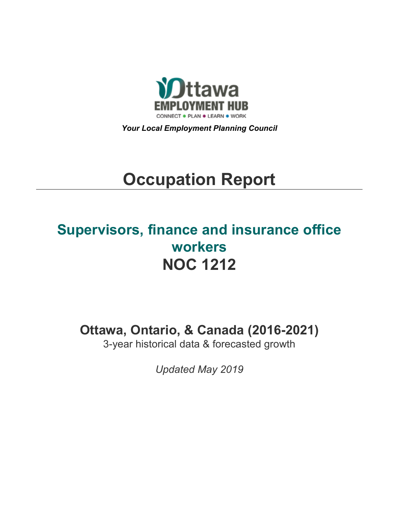

*Your Local Employment Planning Council*

# **Occupation Report**

# **Supervisors, finance and insurance office workers NOC 1212**

**Ottawa, Ontario, & Canada (2016-2021)**

3-year historical data & forecasted growth

*Updated May 2019*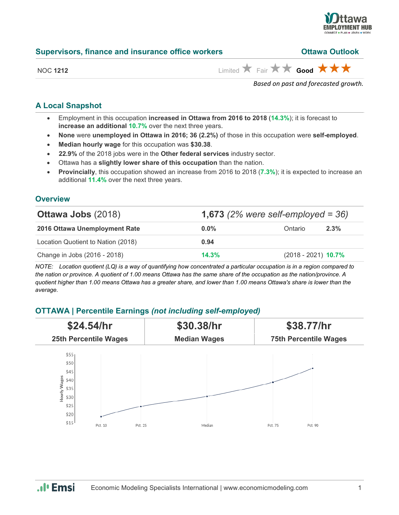

| <b>Supervisors, finance and insurance office workers</b> | <b>Ottawa Outlook</b> |  |  |
|----------------------------------------------------------|-----------------------|--|--|
|                                                          |                       |  |  |

NOC 1212 **Limited <b>A** Fair **A** Good **A A A** 

*Based on past and forecasted growth.*

#### **A Local Snapshot**

- Employment in this occupation **increased in Ottawa from 2016 to 2018** (**14.3%**); it is forecast to **increase an additional 10.7%** over the next three years.
- **None** were **unemployed in Ottawa in 2016; 36 (2.2%)** of those in this occupation were **self-employed**.
- **Median hourly wage** for this occupation was **\$30.38**.
- **22.9%** of the 2018 jobs were in the **Other federal services** industry sector.
- Ottawa has a **slightly lower share of this occupation** than the nation.
- **Provincially**, this occupation showed an increase from 2016 to 2018 (**7.3%**); it is expected to increase an additional **11.4%** over the next three years.

#### **Overview**

| <b>Ottawa Jobs (2018)</b>          | <b>1,673</b> (2% were self-employed = $36$ ) |                       |      |
|------------------------------------|----------------------------------------------|-----------------------|------|
| 2016 Ottawa Unemployment Rate      | $0.0\%$                                      | Ontario               | 2.3% |
| Location Quotient to Nation (2018) | 0.94                                         |                       |      |
| Change in Jobs (2016 - 2018)       | 14.3%                                        | $(2018 - 2021)$ 10.7% |      |

*NOTE: Location quotient (LQ) is a way of quantifying how concentrated a particular occupation is in a region compared to the nation or province. A quotient of 1.00 means Ottawa has the same share of the occupation as the nation/province. A quotient higher than 1.00 means Ottawa has a greater share, and lower than 1.00 means Ottawa's share is lower than the average.*

## **OTTAWA | Percentile Earnings** *(not including self-employed)*



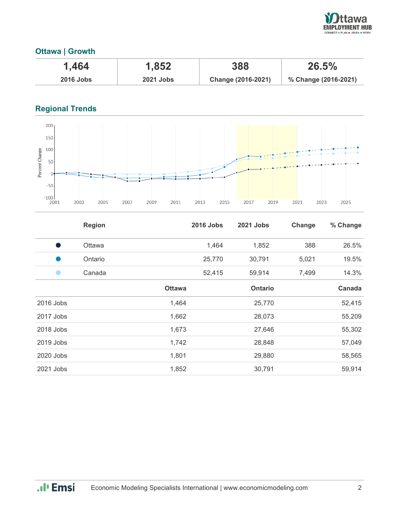

### **Ottawa | Growth**

| ـ 464، ،         | 1,852            | 388                | 26.5%                |
|------------------|------------------|--------------------|----------------------|
| <b>2016 Jobs</b> | <b>2021 Jobs</b> | Change (2016-2021) | % Change (2016-2021) |

# **Regional Trends**



|           | <b>Region</b> |               | <b>2016 Jobs</b> | <b>2021 Jobs</b> | Change | % Change |
|-----------|---------------|---------------|------------------|------------------|--------|----------|
| s,        | Ottawa        |               | 1,464            | 1,852            | 388    | 26.5%    |
|           | Ontario       |               | 25,770           | 30,791           | 5,021  | 19.5%    |
|           | Canada        |               | 52,415           | 59,914           | 7,499  | 14.3%    |
|           |               | <b>Ottawa</b> |                  | <b>Ontario</b>   |        | Canada   |
| 2016 Jobs |               | 1,464         |                  | 25,770           |        | 52,415   |
| 2017 Jobs |               | 1,662         |                  | 28,073           |        | 55,209   |
| 2018 Jobs |               | 1,673         |                  | 27,646           |        | 55,302   |
| 2019 Jobs |               | 1,742         |                  | 28,848           |        | 57,049   |
| 2020 Jobs |               | 1,801         |                  | 29,880           |        | 58,565   |
| 2021 Jobs |               | 1,852         |                  | 30,791           |        | 59,914   |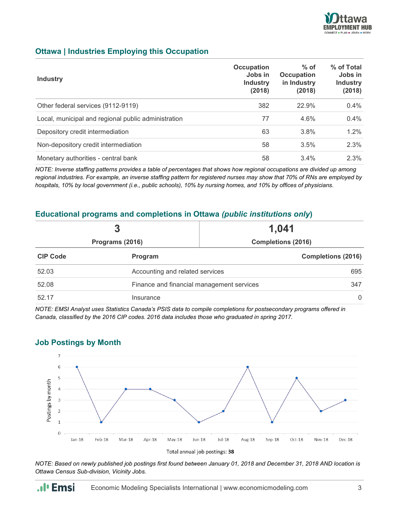

#### **Ottawa | Industries Employing this Occupation**

| <b>Industry</b>                                     | Occupation<br>Jobs in<br><b>Industry</b><br>(2018) | $%$ of<br><b>Occupation</b><br>in Industry<br>(2018) | % of Total<br>Jobs in<br><b>Industry</b><br>(2018) |
|-----------------------------------------------------|----------------------------------------------------|------------------------------------------------------|----------------------------------------------------|
| Other federal services (9112-9119)                  | 382                                                | 22.9%                                                | 0.4%                                               |
| Local, municipal and regional public administration | 77                                                 | 4.6%                                                 | $0.4\%$                                            |
| Depository credit intermediation                    | 63                                                 | 3.8%                                                 | $1.2\%$                                            |
| Non-depository credit intermediation                | 58                                                 | 3.5%                                                 | 2.3%                                               |
| Monetary authorities - central bank                 | 58                                                 | 3.4%                                                 | 2.3%                                               |

*NOTE: Inverse staffing patterns provides a table of percentages that shows how regional occupations are divided up among regional industries. For example, an inverse staffing pattern for registered nurses may show that 70% of RNs are employed by hospitals, 10% by local government (i.e., public schools), 10% by nursing homes, and 10% by offices of physicians.*

#### **Educational programs and completions in Ottawa** *(public institutions only***)**

|                 | 3                                         | 1,041                     |  |  |
|-----------------|-------------------------------------------|---------------------------|--|--|
| Programs (2016) |                                           | <b>Completions (2016)</b> |  |  |
| <b>CIP Code</b> | Program                                   | <b>Completions (2016)</b> |  |  |
| 52.03           | Accounting and related services           | 695                       |  |  |
| 52.08           | Finance and financial management services |                           |  |  |
| 52.17           | Insurance                                 | $\Omega$                  |  |  |

*NOTE: EMSI Analyst uses Statistics Canada's PSIS data to compile completions for postsecondary programs offered in Canada, classified by the 2016 CIP codes. 2016 data includes those who graduated in spring 2017.*

#### **Job Postings by Month**

.**.**. Emsi



Total annual job postings: 38

*NOTE: Based on newly published job postings first found between January 01, 2018 and December 31, 2018 AND location is Ottawa Census Sub-division, Vicinity Jobs.*